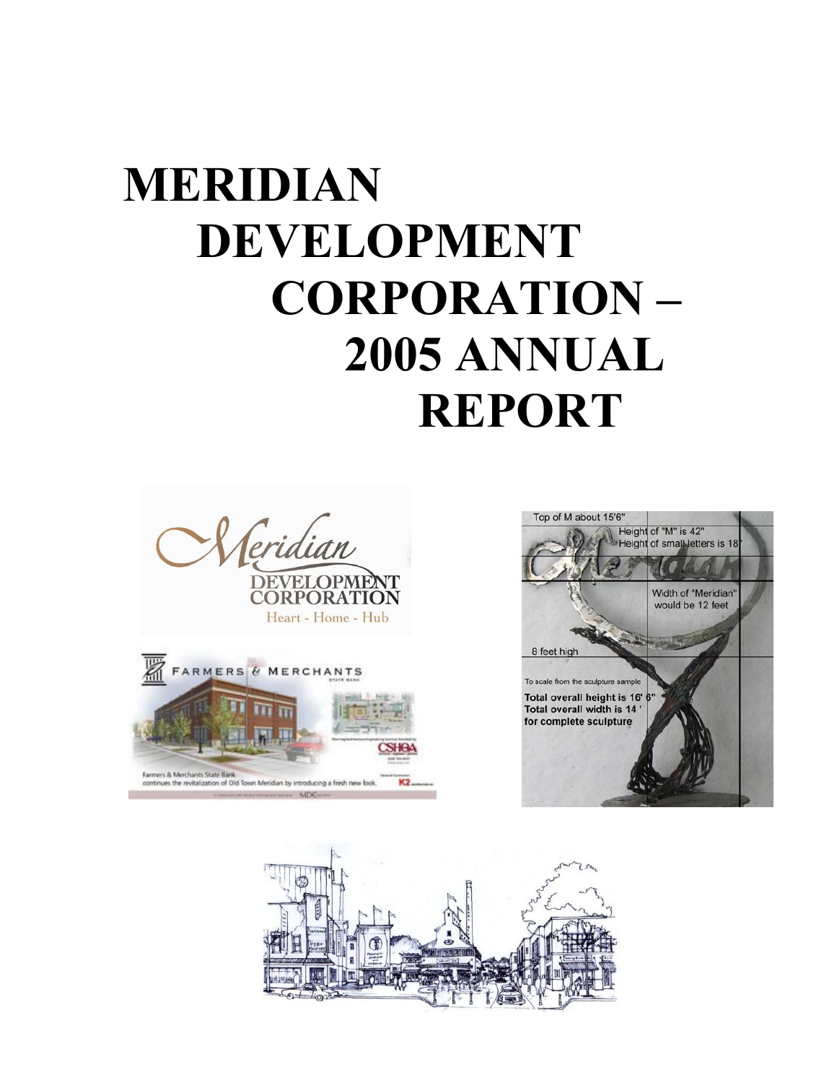## **MERIDIAN DEVELOPMENT CORPORATION – 2005 ANNUAL REPORT**







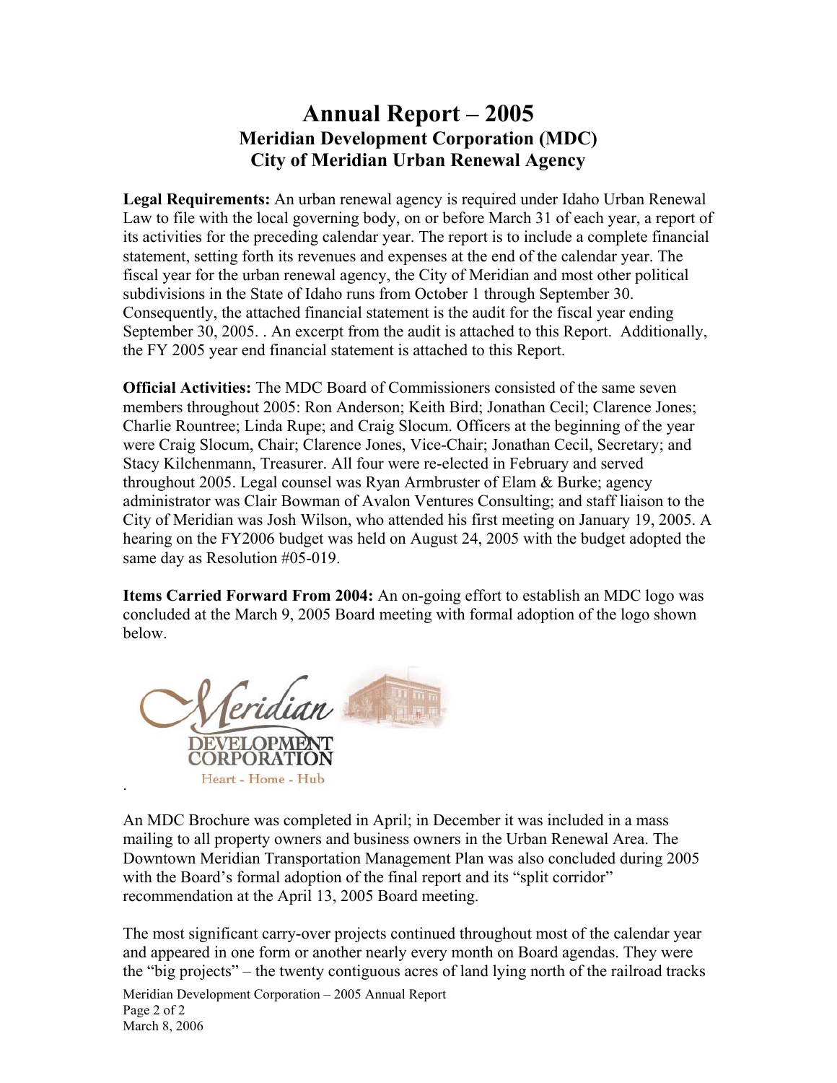## **Annual Report – 2005 Meridian Development Corporation (MDC) City of Meridian Urban Renewal Agency**

**Legal Requirements:** An urban renewal agency is required under Idaho Urban Renewal Law to file with the local governing body, on or before March 31 of each year, a report of its activities for the preceding calendar year. The report is to include a complete financial statement, setting forth its revenues and expenses at the end of the calendar year. The fiscal year for the urban renewal agency, the City of Meridian and most other political subdivisions in the State of Idaho runs from October 1 through September 30. Consequently, the attached financial statement is the audit for the fiscal year ending September 30, 2005. . An excerpt from the audit is attached to this Report. Additionally, the FY 2005 year end financial statement is attached to this Report.

**Official Activities:** The MDC Board of Commissioners consisted of the same seven members throughout 2005: Ron Anderson; Keith Bird; Jonathan Cecil; Clarence Jones; Charlie Rountree; Linda Rupe; and Craig Slocum. Officers at the beginning of the year were Craig Slocum, Chair; Clarence Jones, Vice-Chair; Jonathan Cecil, Secretary; and Stacy Kilchenmann, Treasurer. All four were re-elected in February and served throughout 2005. Legal counsel was Ryan Armbruster of Elam & Burke; agency administrator was Clair Bowman of Avalon Ventures Consulting; and staff liaison to the City of Meridian was Josh Wilson, who attended his first meeting on January 19, 2005. A hearing on the FY2006 budget was held on August 24, 2005 with the budget adopted the same day as Resolution #05-019.

**Items Carried Forward From 2004:** An on-going effort to establish an MDC logo was concluded at the March 9, 2005 Board meeting with formal adoption of the logo shown below.

eridian **DEVELOPMENT CORPORATION** Heart - Home - Hub

.

An MDC Brochure was completed in April; in December it was included in a mass mailing to all property owners and business owners in the Urban Renewal Area. The Downtown Meridian Transportation Management Plan was also concluded during 2005 with the Board's formal adoption of the final report and its "split corridor" recommendation at the April 13, 2005 Board meeting.

The most significant carry-over projects continued throughout most of the calendar year and appeared in one form or another nearly every month on Board agendas. They were the "big projects" – the twenty contiguous acres of land lying north of the railroad tracks

Meridian Development Corporation – 2005 Annual Report Page 2 of 2 March 8, 2006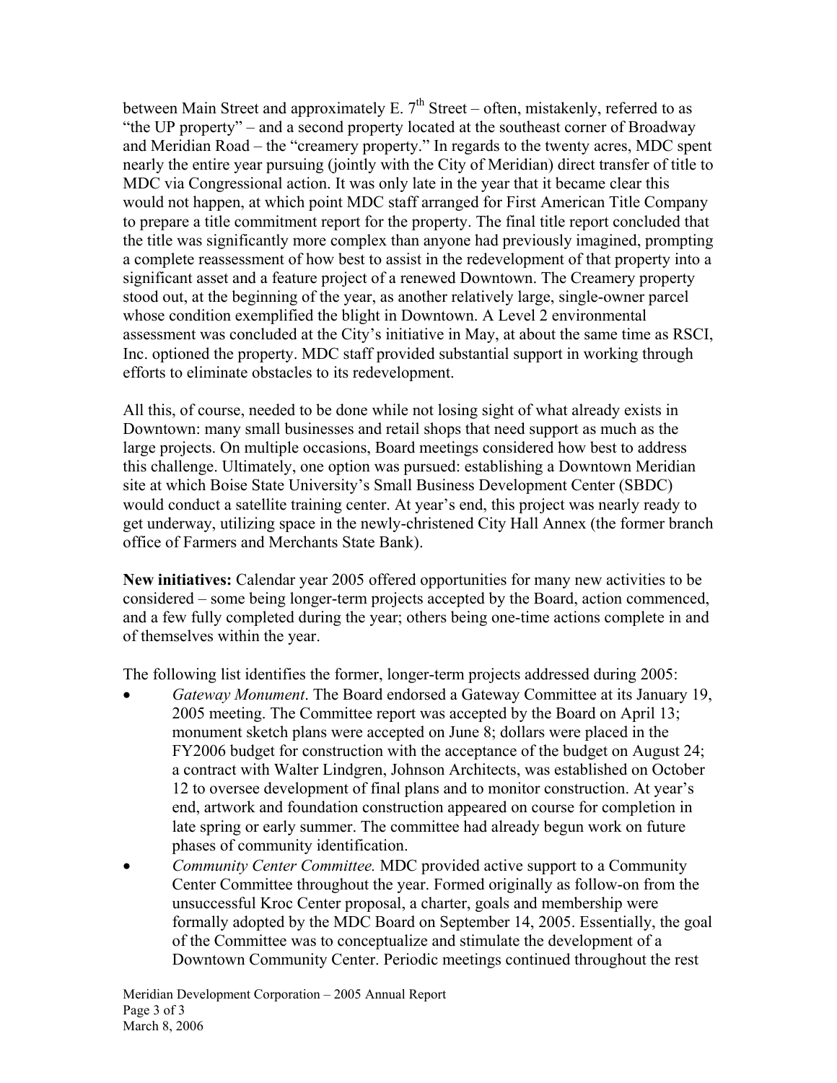between Main Street and approximately E.  $7<sup>th</sup>$  Street – often, mistakenly, referred to as "the UP property" – and a second property located at the southeast corner of Broadway and Meridian Road – the "creamery property." In regards to the twenty acres, MDC spent nearly the entire year pursuing (jointly with the City of Meridian) direct transfer of title to MDC via Congressional action. It was only late in the year that it became clear this would not happen, at which point MDC staff arranged for First American Title Company to prepare a title commitment report for the property. The final title report concluded that the title was significantly more complex than anyone had previously imagined, prompting a complete reassessment of how best to assist in the redevelopment of that property into a significant asset and a feature project of a renewed Downtown. The Creamery property stood out, at the beginning of the year, as another relatively large, single-owner parcel whose condition exemplified the blight in Downtown. A Level 2 environmental assessment was concluded at the City's initiative in May, at about the same time as RSCI, Inc. optioned the property. MDC staff provided substantial support in working through efforts to eliminate obstacles to its redevelopment.

All this, of course, needed to be done while not losing sight of what already exists in Downtown: many small businesses and retail shops that need support as much as the large projects. On multiple occasions, Board meetings considered how best to address this challenge. Ultimately, one option was pursued: establishing a Downtown Meridian site at which Boise State University's Small Business Development Center (SBDC) would conduct a satellite training center. At year's end, this project was nearly ready to get underway, utilizing space in the newly-christened City Hall Annex (the former branch office of Farmers and Merchants State Bank).

**New initiatives:** Calendar year 2005 offered opportunities for many new activities to be considered – some being longer-term projects accepted by the Board, action commenced, and a few fully completed during the year; others being one-time actions complete in and of themselves within the year.

The following list identifies the former, longer-term projects addressed during 2005:

- *Gateway Monument*. The Board endorsed a Gateway Committee at its January 19, 2005 meeting. The Committee report was accepted by the Board on April 13; monument sketch plans were accepted on June 8; dollars were placed in the FY2006 budget for construction with the acceptance of the budget on August 24; a contract with Walter Lindgren, Johnson Architects, was established on October 12 to oversee development of final plans and to monitor construction. At year's end, artwork and foundation construction appeared on course for completion in late spring or early summer. The committee had already begun work on future phases of community identification.
- *Community Center Committee.* MDC provided active support to a Community Center Committee throughout the year. Formed originally as follow-on from the unsuccessful Kroc Center proposal, a charter, goals and membership were formally adopted by the MDC Board on September 14, 2005. Essentially, the goal of the Committee was to conceptualize and stimulate the development of a Downtown Community Center. Periodic meetings continued throughout the rest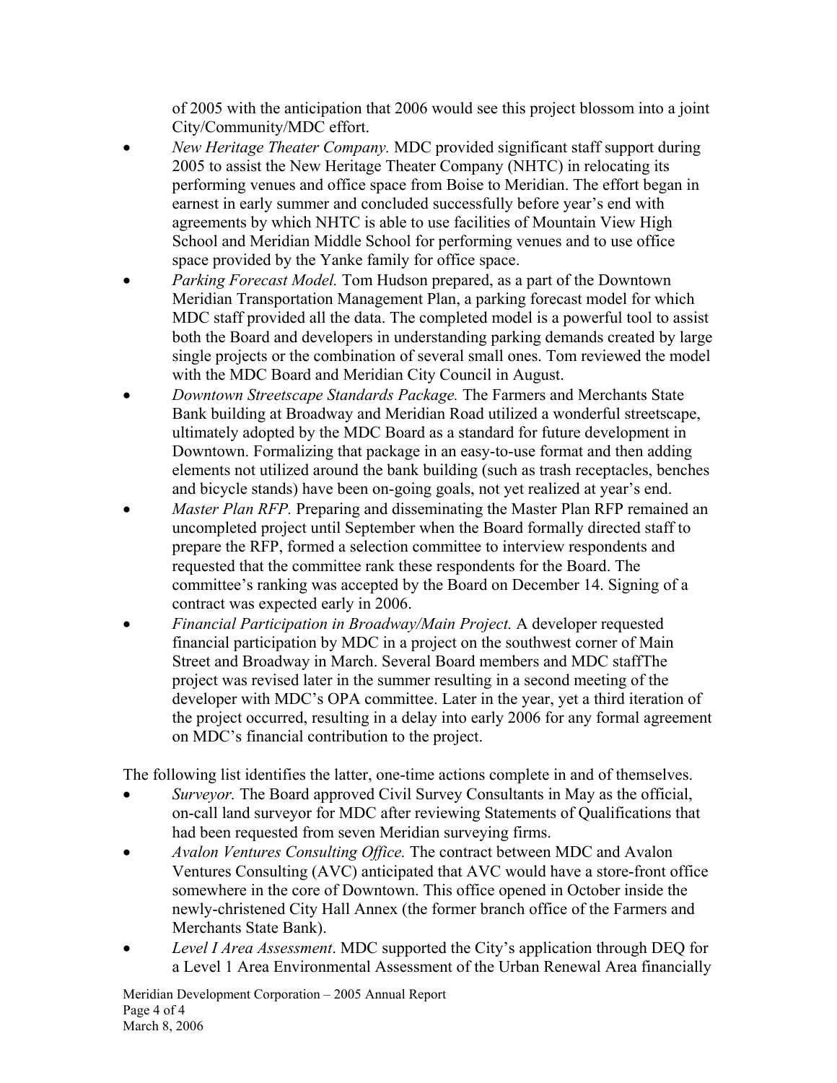of 2005 with the anticipation that 2006 would see this project blossom into a joint City/Community/MDC effort.

- *New Heritage Theater Company.* MDC provided significant staff support during 2005 to assist the New Heritage Theater Company (NHTC) in relocating its performing venues and office space from Boise to Meridian. The effort began in earnest in early summer and concluded successfully before year's end with agreements by which NHTC is able to use facilities of Mountain View High School and Meridian Middle School for performing venues and to use office space provided by the Yanke family for office space.
- *Parking Forecast Model.* Tom Hudson prepared, as a part of the Downtown Meridian Transportation Management Plan, a parking forecast model for which MDC staff provided all the data. The completed model is a powerful tool to assist both the Board and developers in understanding parking demands created by large single projects or the combination of several small ones. Tom reviewed the model with the MDC Board and Meridian City Council in August.
- *Downtown Streetscape Standards Package.* The Farmers and Merchants State Bank building at Broadway and Meridian Road utilized a wonderful streetscape, ultimately adopted by the MDC Board as a standard for future development in Downtown. Formalizing that package in an easy-to-use format and then adding elements not utilized around the bank building (such as trash receptacles, benches and bicycle stands) have been on-going goals, not yet realized at year's end.
- *Master Plan RFP.* Preparing and disseminating the Master Plan RFP remained an uncompleted project until September when the Board formally directed staff to prepare the RFP, formed a selection committee to interview respondents and requested that the committee rank these respondents for the Board. The committee's ranking was accepted by the Board on December 14. Signing of a contract was expected early in 2006.
- *Financial Participation in Broadway/Main Project.* A developer requested financial participation by MDC in a project on the southwest corner of Main Street and Broadway in March. Several Board members and MDC staffThe project was revised later in the summer resulting in a second meeting of the developer with MDC's OPA committee. Later in the year, yet a third iteration of the project occurred, resulting in a delay into early 2006 for any formal agreement on MDC's financial contribution to the project.

The following list identifies the latter, one-time actions complete in and of themselves.

- *Surveyor.* The Board approved Civil Survey Consultants in May as the official, on-call land surveyor for MDC after reviewing Statements of Qualifications that had been requested from seven Meridian surveying firms.
- *Avalon Ventures Consulting Office.* The contract between MDC and Avalon Ventures Consulting (AVC) anticipated that AVC would have a store-front office somewhere in the core of Downtown. This office opened in October inside the newly-christened City Hall Annex (the former branch office of the Farmers and Merchants State Bank).
- *Level I Area Assessment*. MDC supported the City's application through DEQ for a Level 1 Area Environmental Assessment of the Urban Renewal Area financially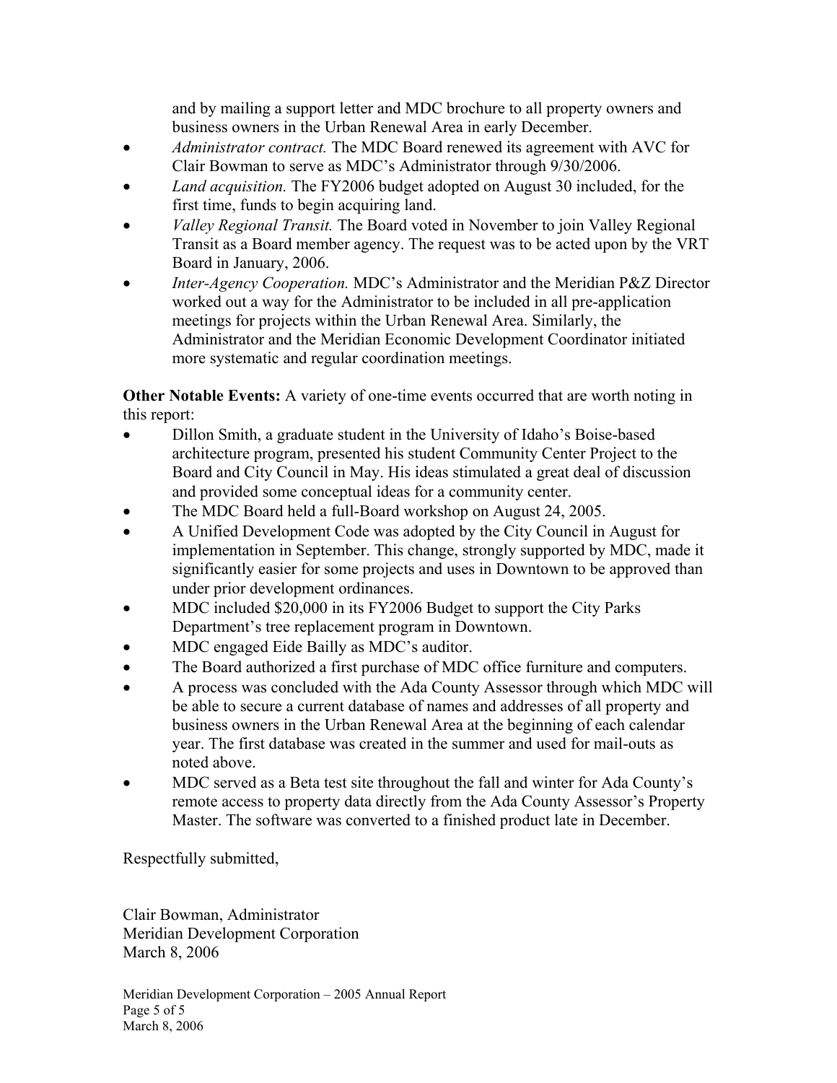and by mailing a support letter and MDC brochure to all property owners and business owners in the Urban Renewal Area in early December.

- *Administrator contract.* The MDC Board renewed its agreement with AVC for Clair Bowman to serve as MDC's Administrator through 9/30/2006.
- *Land acquisition.* The FY2006 budget adopted on August 30 included, for the first time, funds to begin acquiring land.
- *Valley Regional Transit.* The Board voted in November to join Valley Regional Transit as a Board member agency. The request was to be acted upon by the VRT Board in January, 2006.
- *Inter-Agency Cooperation.* MDC's Administrator and the Meridian P&Z Director worked out a way for the Administrator to be included in all pre-application meetings for projects within the Urban Renewal Area. Similarly, the Administrator and the Meridian Economic Development Coordinator initiated more systematic and regular coordination meetings.

**Other Notable Events:** A variety of one-time events occurred that are worth noting in this report:

- Dillon Smith, a graduate student in the University of Idaho's Boise-based architecture program, presented his student Community Center Project to the Board and City Council in May. His ideas stimulated a great deal of discussion and provided some conceptual ideas for a community center.
- The MDC Board held a full-Board workshop on August 24, 2005.
- A Unified Development Code was adopted by the City Council in August for implementation in September. This change, strongly supported by MDC, made it significantly easier for some projects and uses in Downtown to be approved than under prior development ordinances.
- MDC included \$20,000 in its FY2006 Budget to support the City Parks Department's tree replacement program in Downtown.
- MDC engaged Eide Bailly as MDC's auditor.
- The Board authorized a first purchase of MDC office furniture and computers.
- A process was concluded with the Ada County Assessor through which MDC will be able to secure a current database of names and addresses of all property and business owners in the Urban Renewal Area at the beginning of each calendar year. The first database was created in the summer and used for mail-outs as noted above.
- MDC served as a Beta test site throughout the fall and winter for Ada County's remote access to property data directly from the Ada County Assessor's Property Master. The software was converted to a finished product late in December.

Respectfully submitted,

Clair Bowman, Administrator Meridian Development Corporation March 8, 2006

Meridian Development Corporation – 2005 Annual Report Page 5 of 5 March 8, 2006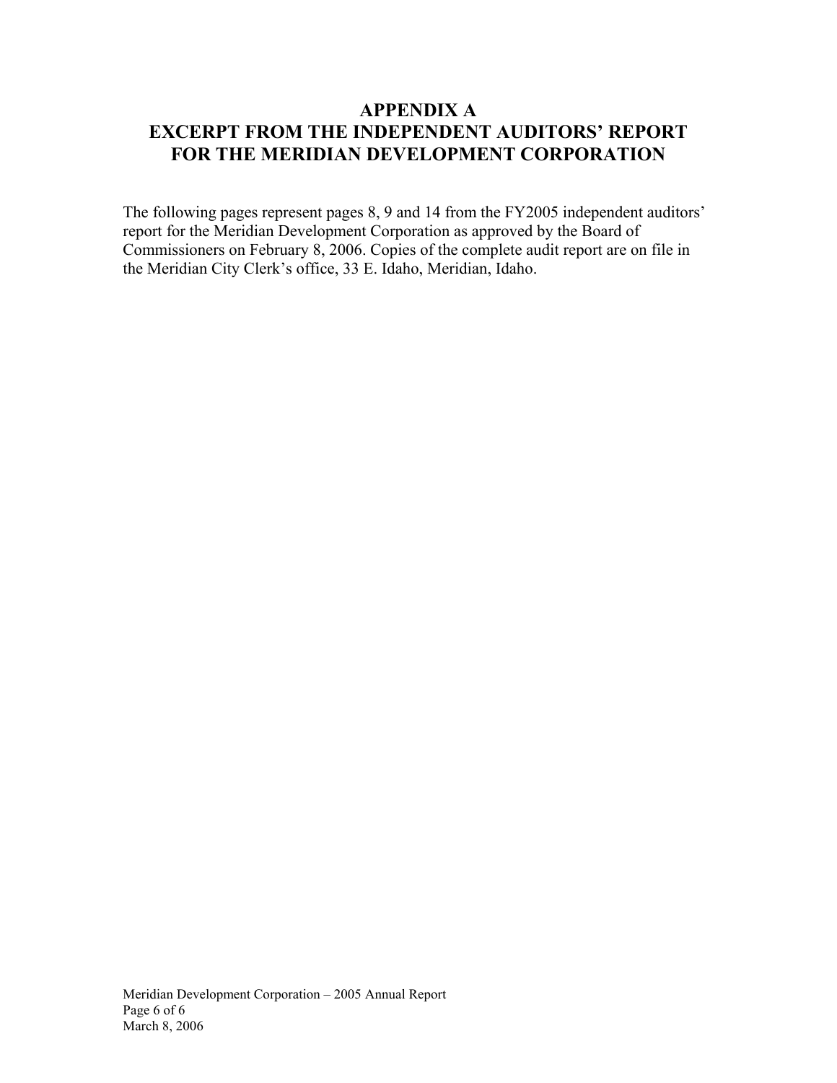## **APPENDIX A EXCERPT FROM THE INDEPENDENT AUDITORS' REPORT FOR THE MERIDIAN DEVELOPMENT CORPORATION**

The following pages represent pages 8, 9 and 14 from the FY2005 independent auditors' report for the Meridian Development Corporation as approved by the Board of Commissioners on February 8, 2006. Copies of the complete audit report are on file in the Meridian City Clerk's office, 33 E. Idaho, Meridian, Idaho.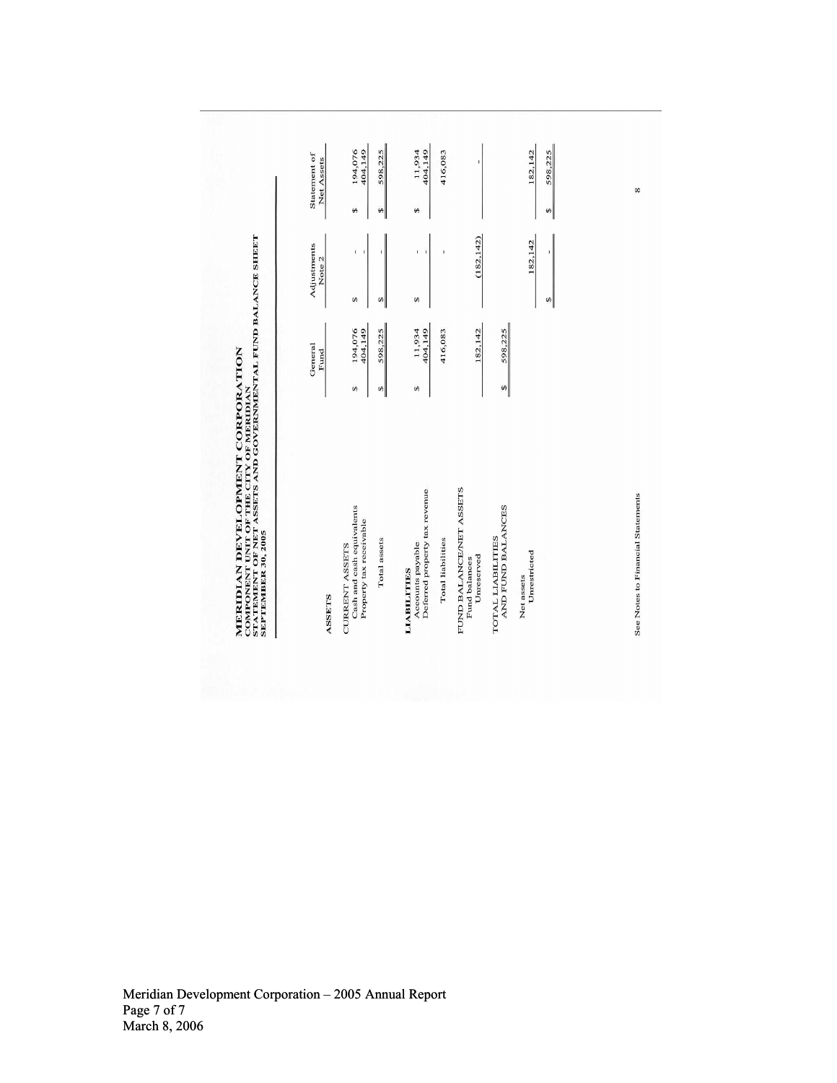194,076<br>404,149 11,934<br>404,149 598,225 416,083 182, 142 598,225 Statement of<br>Net Assets  $\omega$  $\theta$  $\boldsymbol{\theta}$  $\boldsymbol{\theta}$ MERIDIAN DEVELOPMENT CORPORATION<br>COMPONENT UNIT OF THE CITY OF MERIDIAN<br>SEPTEMBER 30, 2005<br>SEPTEMBER 30, 2005  $(182, 142)$ 182, 142 Adjustments<br>Note 2  $\hat{\mathbf{L}}$ î. -î  $\Theta$  $\mathcal{A}$  $\pmb{\varphi}$  $\boldsymbol{\theta}$ 194,076<br>404,149 11,934<br>404,149 598,225 416,083 182,142 598,225 General<br>Fund  $\omega$  $\infty$  $\Theta$  $\mathcal{L}$ FUND BALANCE/NET ASSETS<br>Fund balances<br>Umeserved **LIABILITIES**<br>Accounts payable<br>Deferred property tax revenue CURRENT ASSETS<br>Cash and cash equivalents<br>Property tax receivable TOTAL LIABILITIES<br>AND FUND BALANCES Total assets **Total liabilities** Net assets<br>Unrestricted ASSETS

 $\infty$ 

See Notes to Financial Statements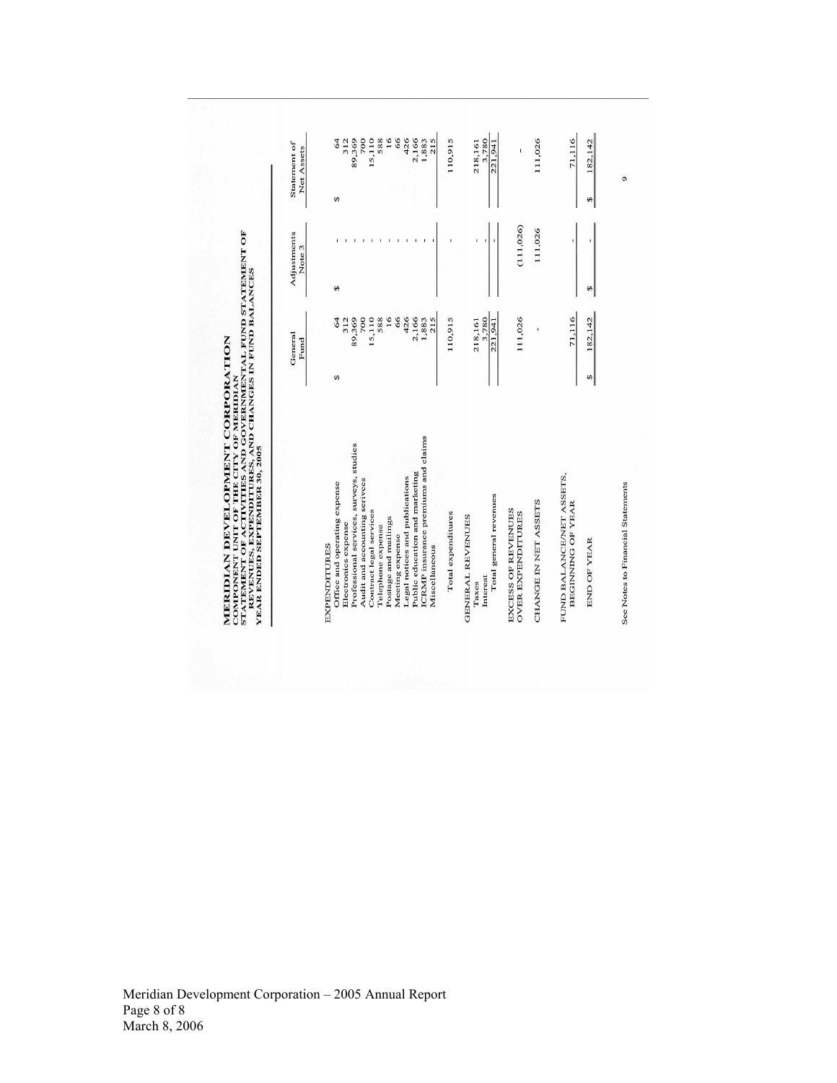| EXPENDITURES                                                   | General          |                       |                            |
|----------------------------------------------------------------|------------------|-----------------------|----------------------------|
|                                                                | Fund             | Adjustments<br>Note 3 | Statement of<br>Net Assets |
|                                                                |                  |                       |                            |
| Office and operating expense                                   | 64<br>$\Theta$   | ı<br>$\theta$         | 64<br>₩                    |
| Professional services, surveys, studies<br>Electronics expense | 89,369<br>312    | J.<br>٠               | 89,369<br>312              |
| Audit and accounting serivces                                  | 700              |                       | 700                        |
| Contract legal services                                        | 15,110           |                       | 15,110                     |
| Telephone expense                                              | 588              |                       | 588                        |
| Postage and mailings                                           | 16               |                       | 16                         |
| Meeting expense                                                | 66               | $\mathbf{I}$          | 66                         |
| Legal notices and publications                                 | 426              |                       | 426                        |
| Public education and marketing                                 | 2,166<br>1,883   | ŧ                     | 2,166                      |
| ICRMP insurance premiums and claims<br>Miscellaneous           | 215              |                       | 1,883<br>215               |
|                                                                |                  |                       |                            |
| Total expenditures                                             | 110,915          |                       | 110,915                    |
| GENERAL REVENUES                                               |                  |                       |                            |
| Taxes                                                          | 218,161          | ï                     | 218,161                    |
| Total general revenues<br>Interest                             | 3.780<br>221,941 |                       | 3,780<br>221,941           |
|                                                                |                  |                       |                            |
| EXCESS OF REVENUES<br><b>OVER EXPENDITURES</b>                 | 111,026          | (111, 026)            |                            |
| CHANGE IN NET ASSETS                                           |                  | 111,026               | 111,026                    |
| FUND BALANCE/NET ASSETS.<br><b>BEGINNING OF YEAR</b>           | 71,116           |                       | 71,116                     |
|                                                                |                  |                       |                            |
| END OF YEAR                                                    | 182,142<br>sĄ    | J.<br>S               | 182,142<br>s               |